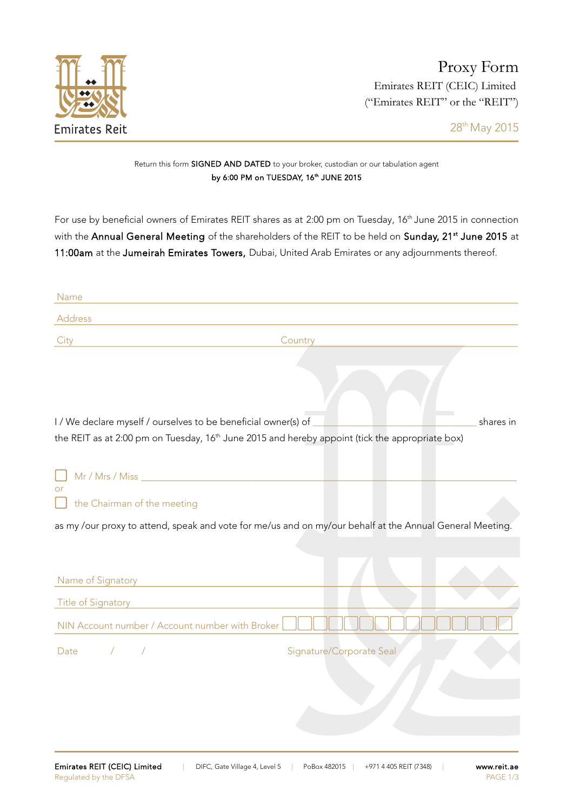

28th May 2015

## Return this form SIGNED AND DATED to your broker, custodian or our tabulation agent by 6:00 PM on TUESDAY, 16<sup>th</sup> JUNE 2015

For use by beneficial owners of Emirates REIT shares as at 2:00 pm on Tuesday, 16<sup>th</sup> June 2015 in connection with the **Annual General Meeting** of the shareholders of the REIT to be held on **Sunday, 21st June 2015** at 11:00am at the Jumeirah Emirates Towers, Dubai, United Arab Emirates or any adjournments thereof.

| Name                                                                                                        |                                                                                                          |
|-------------------------------------------------------------------------------------------------------------|----------------------------------------------------------------------------------------------------------|
| Address                                                                                                     |                                                                                                          |
| City                                                                                                        | Country                                                                                                  |
|                                                                                                             |                                                                                                          |
| I / We declare myself / ourselves to be beneficial owner(s) of                                              | shares in                                                                                                |
| the REIT as at 2:00 pm on Tuesday, 16 <sup>th</sup> June 2015 and hereby appoint (tick the appropriate box) |                                                                                                          |
|                                                                                                             |                                                                                                          |
| or<br>the Chairman of the meeting                                                                           |                                                                                                          |
|                                                                                                             | as my /our proxy to attend, speak and vote for me/us and on my/our behalf at the Annual General Meeting. |
|                                                                                                             |                                                                                                          |
| Name of Signatory<br><u> 1989 - Johann Stoff, fransk politik (d. 1989)</u>                                  |                                                                                                          |
| <b>Title of Signatory</b>                                                                                   |                                                                                                          |
| NIN Account number / Account number with Broker                                                             |                                                                                                          |
| Date<br>$\sqrt{2}$                                                                                          | Signature/Corporate Seal                                                                                 |
|                                                                                                             |                                                                                                          |
|                                                                                                             |                                                                                                          |
|                                                                                                             |                                                                                                          |
|                                                                                                             |                                                                                                          |
|                                                                                                             |                                                                                                          |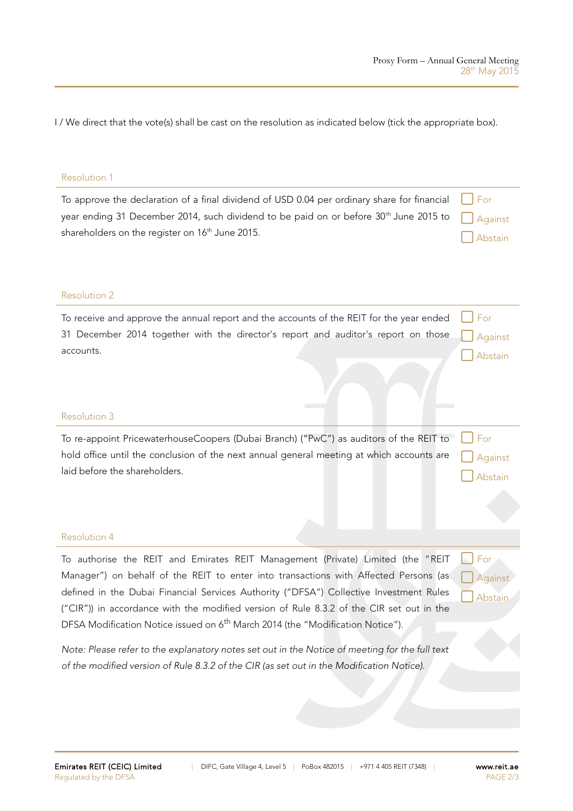I / We direct that the vote(s) shall be cast on the resolution as indicated below (tick the appropriate box).

## Resolution 1

| To approve the declaration of a final dividend of USD 0.04 per ordinary share for financial $\Box$ For           |         |
|------------------------------------------------------------------------------------------------------------------|---------|
| year ending 31 December 2014, such dividend to be paid on or before 30 <sup>th</sup> June 2015 to $\Box$ Against |         |
| shareholders on the register on 16 <sup>th</sup> June 2015.                                                      | Abstain |

## Resolution 2

| To receive and approve the annual report and the accounts of the REIT for the year ended $\Box$ For |                   |
|-----------------------------------------------------------------------------------------------------|-------------------|
| 31 December 2014 together with the director's report and auditor's report on those a Against        |                   |
| accounts.                                                                                           | $\bigcap$ Abstain |

## Resolution 3

| To re-appoint PricewaterhouseCoopers (Dubai Branch) ("PwC") as auditors of the REIT to For<br>hold office until the conclusion of the next annual general meeting at which accounts are | Against                     |
|-----------------------------------------------------------------------------------------------------------------------------------------------------------------------------------------|-----------------------------|
| laid before the shareholders.                                                                                                                                                           | Abstain                     |
|                                                                                                                                                                                         |                             |
|                                                                                                                                                                                         |                             |
| <b>Resolution 4</b>                                                                                                                                                                     |                             |
| To authorise the REIT and Emirates REIT Management (Private) Limited (the "REIT                                                                                                         | $\lfloor \cdot \rfloor$ For |
| Manager") on behalf of the REIT to enter into transactions with Affected Persons (as                                                                                                    | Against                     |
| defined in the Dubai Financial Services Authority ("DFSA") Collective Investment Rules                                                                                                  | Abstain                     |

("CIR")) in accordance with the modified version of Rule 8.3.2 of the CIR set out in the DFSA Modification Notice issued on 6<sup>th</sup> March 2014 (the "Modification Notice").

Note: Please refer to the explanatory notes set out in the Notice of meeting for the full text of the modified version of Rule 8.3.2 of the CIR (as set out in the Modification Notice).